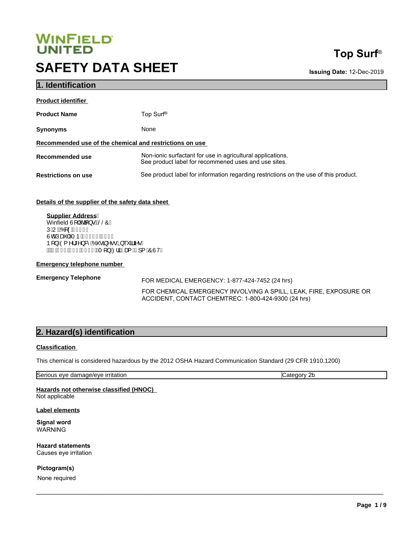# **SAFETY DATA SHEET WINFIELD<br>UNITED<br>SAFETY DATA SHEET**<br>1. Identification<br>Product Name Top Surf®

# **Top Surf**®

**Issuing Date:** 12-Dec-2019

| <b>Product identifier</b>                               |                                                                                                                    |  |
|---------------------------------------------------------|--------------------------------------------------------------------------------------------------------------------|--|
| <b>Product Name</b>                                     | Top Surf <sup>®</sup>                                                                                              |  |
| <b>Synonyms</b>                                         | None                                                                                                               |  |
| Recommended use of the chemical and restrictions on use |                                                                                                                    |  |
| Recommended use                                         | Non-ionic surfactant for use in agricultural applications.<br>See product label for recommened uses and use sites. |  |
| <b>Restrictions on use</b>                              | See product label for information regarding restrictions on the use of this product.                               |  |

**Details of the supplier of the safety data sheet** 

**2. Hazard(s) identification**<br>
Classification<br>
Classification<br> **2. Hazard(s) identification**<br>
Classification<br>
Classification<br>
Classification<br>
Classification<br>
Classification<br>
This chemical is considered hazardous by the 201 **Supplier Address** Winfield U[ | @[ } · BSOA UEUEO CÂIÍIJ Ùobě páří ÞÁ Í FÎ I Bé Í J b[}EO (^|\*^}& ÁO \*- 3^- • ÁQ \* \* ãã • K A¥FËLIË JIË HIHAQT [}ËZIaÂÎaa{ËI]{AÔÙVD

#### **Emergency telephone number**

Emergency Telephone<br>
FOR MEDICAL EMERGENCY: 1-877-424-7452 (24 hrs)

FOR CHEMICAL EMERGENCY INVOLVING A SPILL, LEAK, FIRE, EXPOSURE OR ACCIDENT, CONTACT CHEMTREC: 1-800-424-9300 (24 hrs)

 $\_$  ,  $\_$  ,  $\_$  ,  $\_$  ,  $\_$  ,  $\_$  ,  $\_$  ,  $\_$  ,  $\_$  ,  $\_$  ,  $\_$  ,  $\_$  ,  $\_$  ,  $\_$  ,  $\_$  ,  $\_$  ,  $\_$  ,  $\_$  ,  $\_$  ,  $\_$  ,  $\_$  ,  $\_$  ,  $\_$  ,  $\_$  ,  $\_$  ,  $\_$  ,  $\_$  ,  $\_$  ,  $\_$  ,  $\_$  ,  $\_$  ,  $\_$  ,  $\_$  ,  $\_$  ,  $\_$  ,  $\_$  ,  $\_$  ,

#### **Classification**

This chemical is considered hazardous by the 2012 OSHA Hazard Communication Standard (29 CFR 1910.1200)

Serious eye damage/eye irritation **Category 2b** Category 2b

# **Hazards not otherwise classified (HNOC)**

Not applicable

**Label elements** 

**Signal word** WARNING

**Hazard statements** Causes eye irritation

**Pictogram(s)** None required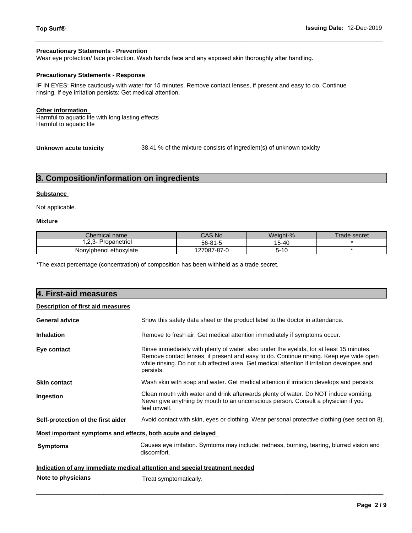#### **Precautionary Statements - Prevention**

Wear eye protection/ face protection. Wash hands face and any exposed skin thoroughly after handling.

#### **Precautionary Statements - Response**

IF IN EYES: Rinse cautiously with water for 15 minutes. Remove contact lenses, if present and easy to do. Continue rinsing. If eye irritation persists: Get medical attention. **Precautionary statements - Prevention**<br>
Wear eye protection/ face protection. Wash hands face and any exposed skin thoroughly afte<br> **Precautionary Statements - Response**<br>
IF IN EYES: Rinse cautiously with water for 15 min

 $\_$  ,  $\_$  ,  $\_$  ,  $\_$  ,  $\_$  ,  $\_$  ,  $\_$  ,  $\_$  ,  $\_$  ,  $\_$  ,  $\_$  ,  $\_$  ,  $\_$  ,  $\_$  ,  $\_$  ,  $\_$  ,  $\_$  ,  $\_$  ,  $\_$  ,  $\_$  ,  $\_$  ,  $\_$  ,  $\_$  ,  $\_$  ,  $\_$  ,  $\_$  ,  $\_$  ,  $\_$  ,  $\_$  ,  $\_$  ,  $\_$  ,  $\_$  ,  $\_$  ,  $\_$  ,  $\_$  ,  $\_$  ,  $\_$  ,

## **Other information**

Harmful to aquatic life with long lasting effects Harmful to aquatic life

**Unknown acute toxicity** 38.41 % of the mixture consists of ingredient(s) of unknown toxicity

#### **Substance**

## **Mixture**

| Chemical name          | $\mathbf{A}$<br>N <sub>c</sub> | Weight-% | rade secret |
|------------------------|--------------------------------|----------|-------------|
| ropanetriol            | $56 - 81 - 5$                  | 15-40    |             |
| Nonylphenol ethoxylate | 7087-87-0<br>∠                 | ာ-<br>טו |             |

| 3. Composition/information on ingredients                                  |                                                                                                          |                                                                                                                                                                                                                                                                                  |           |              |
|----------------------------------------------------------------------------|----------------------------------------------------------------------------------------------------------|----------------------------------------------------------------------------------------------------------------------------------------------------------------------------------------------------------------------------------------------------------------------------------|-----------|--------------|
| Substance                                                                  |                                                                                                          |                                                                                                                                                                                                                                                                                  |           |              |
| Not applicable.                                                            |                                                                                                          |                                                                                                                                                                                                                                                                                  |           |              |
| Mixture                                                                    |                                                                                                          |                                                                                                                                                                                                                                                                                  |           |              |
| Chemical name                                                              |                                                                                                          | CAS No                                                                                                                                                                                                                                                                           | Weight-%  | Trade secret |
| 1,2,3- Propanetriol                                                        |                                                                                                          | $56 - 81 - 5$                                                                                                                                                                                                                                                                    | $15 - 40$ |              |
| Nonylphenol ethoxylate                                                     |                                                                                                          | 127087-87-0                                                                                                                                                                                                                                                                      | $5 - 10$  | $\star$      |
| 4. First-aid measures                                                      |                                                                                                          |                                                                                                                                                                                                                                                                                  |           |              |
| <b>Description of first aid measures</b>                                   |                                                                                                          |                                                                                                                                                                                                                                                                                  |           |              |
| <b>General advice</b>                                                      |                                                                                                          | Show this safety data sheet or the product label to the doctor in attendance.                                                                                                                                                                                                    |           |              |
| Inhalation                                                                 |                                                                                                          | Remove to fresh air. Get medical attention immediately if symptoms occur.                                                                                                                                                                                                        |           |              |
| Eye contact                                                                | persists.                                                                                                | Rinse immediately with plenty of water, also under the eyelids, for at least 15 minutes.<br>Remove contact lenses, if present and easy to do. Continue rinsing. Keep eye wide open<br>while rinsing. Do not rub affected area. Get medical attention if irritation developes and |           |              |
| Skin contact                                                               |                                                                                                          | Wash skin with soap and water. Get medical attention if irritation develops and persists.                                                                                                                                                                                        |           |              |
| Ingestion                                                                  | feel unwell.                                                                                             | Clean mouth with water and drink afterwards plenty of water. Do NOT induce vomiting.<br>Never give anything by mouth to an unconscious person. Consult a physician if you                                                                                                        |           |              |
| Self-protection of the first aider                                         |                                                                                                          | Avoid contact with skin, eyes or clothing. Wear personal protective clothing (see section 8).                                                                                                                                                                                    |           |              |
| Most important symptoms and effects, both acute and delayed                |                                                                                                          |                                                                                                                                                                                                                                                                                  |           |              |
|                                                                            | Causes eye irritation. Symtoms may include: redness, burning, tearing, blurred vision and<br>discomfort. |                                                                                                                                                                                                                                                                                  |           |              |
| <b>Symptoms</b>                                                            |                                                                                                          |                                                                                                                                                                                                                                                                                  |           |              |
| Indication of any immediate medical attention and special treatment needed |                                                                                                          |                                                                                                                                                                                                                                                                                  |           |              |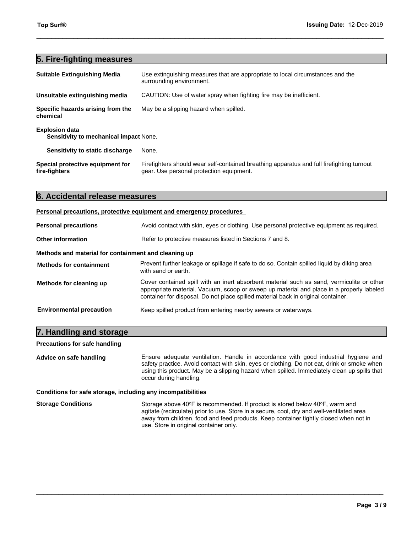| Top Surf <sup>®</sup>                                           | Issuing Date: 12-Dec-2019                                                                                                             |  |
|-----------------------------------------------------------------|---------------------------------------------------------------------------------------------------------------------------------------|--|
| 5. Fire-fighting measures                                       |                                                                                                                                       |  |
| <b>Suitable Extinguishing Media</b>                             | Use extinguishing measures that are appropriate to local circumstances and the<br>surrounding environment.                            |  |
| Unsuitable extinguishing media                                  | CAUTION: Use of water spray when fighting fire may be inefficient.                                                                    |  |
| Specific hazards arising from the<br>chemical                   | May be a slipping hazard when spilled.                                                                                                |  |
| <b>Explosion data</b><br>Sensitivity to mechanical impact None. |                                                                                                                                       |  |
| Sensitivity to static discharge                                 | None.                                                                                                                                 |  |
| Special protective equipment for<br>fire-fighters               | Firefighters should wear self-contained breathing apparatus and full firefighting turnout<br>gear. Use personal protection equipment. |  |
| 6. Accidental release measures                                  |                                                                                                                                       |  |
|                                                                 | Personal precautions, protective equipment and emergency procedures                                                                   |  |
| <b>Personal precautions</b>                                     | Avoid contact with skin, eyes or clothing. Use personal protective equipment as required.                                             |  |

|                                                      | Personal precautions, protective equipment and emergency procedures                                                                                                                                                                                                        |  |  |
|------------------------------------------------------|----------------------------------------------------------------------------------------------------------------------------------------------------------------------------------------------------------------------------------------------------------------------------|--|--|
| <b>Personal precautions</b>                          | Avoid contact with skin, eyes or clothing. Use personal protective equipment as required.                                                                                                                                                                                  |  |  |
| <b>Other information</b>                             | Refer to protective measures listed in Sections 7 and 8.                                                                                                                                                                                                                   |  |  |
| Methods and material for containment and cleaning up |                                                                                                                                                                                                                                                                            |  |  |
| <b>Methods for containment</b>                       | Prevent further leakage or spillage if safe to do so. Contain spilled liquid by diking area<br>with sand or earth.                                                                                                                                                         |  |  |
| Methods for cleaning up                              | Cover contained spill with an inert absorbent material such as sand, vermiculite or other<br>appropriate material. Vacuum, scoop or sweep up material and place in a properly labeled<br>container for disposal. Do not place spilled material back in original container. |  |  |
| <b>Environmental precaution</b>                      | Keep spilled product from entering nearby sewers or waterways.                                                                                                                                                                                                             |  |  |
| 7. Handling and storage                              |                                                                                                                                                                                                                                                                            |  |  |
| <b>Precautions for safe handling</b>                 |                                                                                                                                                                                                                                                                            |  |  |
| Advice on safe handling                              | Ensure adequate ventilation. Handle in accordance with good industrial hygiene and<br>safety practice. Avoid contact with skin, eves or clothing. Do not eat, drink or smoke when                                                                                          |  |  |

# **Precautions for safe handling**

Advice on safe handling **Ensure adequate ventilation.** Handle in accordance with good industrial hygiene and safety practice. Avoid contact with skin, eyes or clothing. Do not eat, drink or smoke when using this product. May be a slipping hazard when spilled. Immediately clean up spills that occur during handling.

**Conditions for safe storage, including any incompatibilities**

**Storage Conditions** Storage above 40°F is recommended. If product is stored below 40°F, warm and agitate (recirculate) prior to use. Store in a secure, cool, dry and well-ventilated area away from children, food and feed products. Keep container tightly closed when not in use. Store in original container only.

 $\_$  ,  $\_$  ,  $\_$  ,  $\_$  ,  $\_$  ,  $\_$  ,  $\_$  ,  $\_$  ,  $\_$  ,  $\_$  ,  $\_$  ,  $\_$  ,  $\_$  ,  $\_$  ,  $\_$  ,  $\_$  ,  $\_$  ,  $\_$  ,  $\_$  ,  $\_$  ,  $\_$  ,  $\_$  ,  $\_$  ,  $\_$  ,  $\_$  ,  $\_$  ,  $\_$  ,  $\_$  ,  $\_$  ,  $\_$  ,  $\_$  ,  $\_$  ,  $\_$  ,  $\_$  ,  $\_$  ,  $\_$  ,  $\_$  ,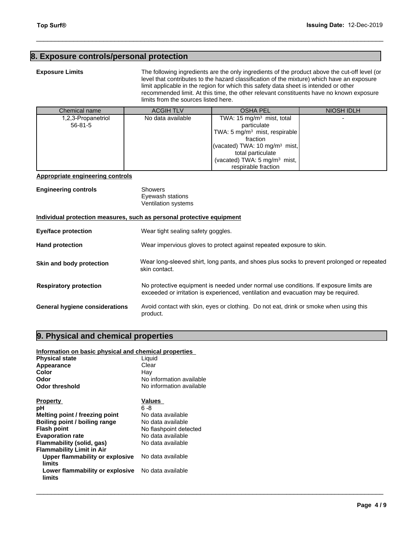# **8. Exposure controls/personal protection<br>
Exposure controls/personal protection<br>
Exposure Limits**<br>
The following ing<br>
level that contribu<br>
limit applicable in

| Top Surf <sup>®</sup>                   | <b>Issuing Date: 12-Dec-2019</b>     |                                                                                                                                                                                                                                                                                                                                                                                |                   |
|-----------------------------------------|--------------------------------------|--------------------------------------------------------------------------------------------------------------------------------------------------------------------------------------------------------------------------------------------------------------------------------------------------------------------------------------------------------------------------------|-------------------|
| . Exposure controls/personal protection |                                      |                                                                                                                                                                                                                                                                                                                                                                                |                   |
| <b>Exposure Limits</b>                  | limits from the sources listed here. | The following ingredients are the only ingredients of the product above the cut-off level (or<br>level that contributes to the hazard classification of the mixture) which have an exposure<br>limit applicable in the region for which this safety data sheet is intended or other<br>recommended limit. At this time, the other relevant constituents have no known exposure |                   |
| Chemical name                           | <b>ACGIH TLV</b>                     | <b>OSHA PEL</b>                                                                                                                                                                                                                                                                                                                                                                | <b>NIOSH IDLH</b> |
| 1,2,3-Propanetriol<br>$56 - 81 - 5$     | No data available                    | TWA: 15 $mg/m3$ mist, total<br>particulate<br>TWA: 5 $mg/m3$ mist, respirable<br>fraction<br>(vacated) TWA: 10 mg/m <sup>3</sup> mist,<br>total particulate<br>(vacated) TWA: 5 mg/m <sup>3</sup> mist,<br>respirable fraction                                                                                                                                                 |                   |

#### **Appropriate engineering controls**

| <b>Engineering controls</b> | Showers             |  |
|-----------------------------|---------------------|--|
|                             | Eyewash stations    |  |
|                             | Ventilation systems |  |

#### **Individual protection measures, such as personal protective equipment**

| Individual protection measures, such as personal protective equipment |                                                                                                                                                                             |  |  |  |
|-----------------------------------------------------------------------|-----------------------------------------------------------------------------------------------------------------------------------------------------------------------------|--|--|--|
| Eye/face protection                                                   | Wear tight sealing safety goggles.                                                                                                                                          |  |  |  |
| <b>Hand protection</b>                                                | Wear impervious gloves to protect against repeated exposure to skin.                                                                                                        |  |  |  |
| Skin and body protection                                              | Wear long-sleeved shirt, long pants, and shoes plus socks to prevent prolonged or repeated<br>skin contact.                                                                 |  |  |  |
| <b>Respiratory protection</b>                                         | No protective equipment is needed under normal use conditions. If exposure limits are<br>exceeded or irritation is experienced, ventilation and evacuation may be required. |  |  |  |
| General hygiene considerations                                        | Avoid contact with skin, eyes or clothing. Do not eat, drink or smoke when using this<br>product.                                                                           |  |  |  |
| 9. Physical and chemical properties                                   |                                                                                                                                                                             |  |  |  |
| Information on basic physical and chemical properties                 |                                                                                                                                                                             |  |  |  |
| <b>Physical state</b>                                                 | Liquid                                                                                                                                                                      |  |  |  |
| Appearance                                                            | Clear                                                                                                                                                                       |  |  |  |

 $\_$  ,  $\_$  ,  $\_$  ,  $\_$  ,  $\_$  ,  $\_$  ,  $\_$  ,  $\_$  ,  $\_$  ,  $\_$  ,  $\_$  ,  $\_$  ,  $\_$  ,  $\_$  ,  $\_$  ,  $\_$  ,  $\_$  ,  $\_$  ,  $\_$  ,  $\_$  ,  $\_$  ,  $\_$  ,  $\_$  ,  $\_$  ,  $\_$  ,  $\_$  ,  $\_$  ,  $\_$  ,  $\_$  ,  $\_$  ,  $\_$  ,  $\_$  ,  $\_$  ,  $\_$  ,  $\_$  ,  $\_$  ,  $\_$  ,

### **Information on basic physical and chemical properties**

| <b>Physical state</b>                     | Liquid                   |
|-------------------------------------------|--------------------------|
| Appearance                                | Clear                    |
| Color                                     | Hay                      |
| Odor                                      | No information available |
| <b>Odor threshold</b>                     | No information available |
| <b>Property</b>                           | Values                   |
| рH                                        | ჩ -გ                     |
| Melting point / freezing point            | No data available        |
| Boiling point / boiling range             | No data available        |
| <b>Flash point</b>                        | No flashpoint detected   |
| <b>Evaporation rate</b>                   | No data available        |
| Flammability (solid, gas)                 | No data available        |
| <b>Flammability Limit in Air</b>          |                          |
| Upper flammability or explosive<br>limits | No data available        |
| Lower flammability or explosive<br>limits | No data available        |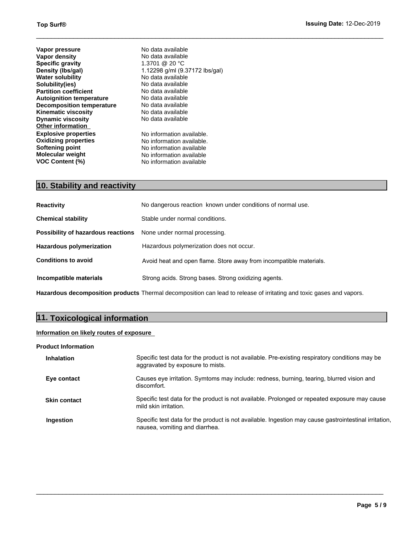**Other information Explosive properties Oxidizing properties Softening point Molecular weight VOC Content (%) 10.** Stability and **reactivity**<br> **10. Stability**<br> **10. Stability**<br> **1.3701** @ 20 °C<br> **Density (lbs/gal)** 1.12298 g/ml (9.37172 lbs/gal)<br> **No data available**<br> **Partition coefficient** No data available<br> **Partition coefficie Vapor pressure Vapor density Specific gravity Density (lbs/gal) Water solubility Solubility(ies) Partition coefficient Autoignition temperature Decomposition temperature Kinematic viscosity Dynamic viscosity**

No information available. No information available. No information available No information available No information available No data available No data available 1.3701 @ 20 °C 1.12298 g/ml (9.37172 lbs/gal) No data available No data available No data available No data available No data available No data available No data available

 $\_$  ,  $\_$  ,  $\_$  ,  $\_$  ,  $\_$  ,  $\_$  ,  $\_$  ,  $\_$  ,  $\_$  ,  $\_$  ,  $\_$  ,  $\_$  ,  $\_$  ,  $\_$  ,  $\_$  ,  $\_$  ,  $\_$  ,  $\_$  ,  $\_$  ,  $\_$  ,  $\_$  ,  $\_$  ,  $\_$  ,  $\_$  ,  $\_$  ,  $\_$  ,  $\_$  ,  $\_$  ,  $\_$  ,  $\_$  ,  $\_$  ,  $\_$  ,  $\_$  ,  $\_$  ,  $\_$  ,  $\_$  ,  $\_$  ,

| <b>Reactivity</b>                  | No dangerous reaction known under conditions of normal use.        |  |
|------------------------------------|--------------------------------------------------------------------|--|
| <b>Chemical stability</b>          | Stable under normal conditions.                                    |  |
| Possibility of hazardous reactions | None under normal processing.                                      |  |
| Hazardous polymerization           | Hazardous polymerization does not occur.                           |  |
| <b>Conditions to avoid</b>         | Avoid heat and open flame. Store away from incompatible materials. |  |
| Incompatible materials             | Strong acids. Strong bases. Strong oxidizing agents.               |  |

**Hazardous decomposition products** Thermal decomposition can lead to release of irritating and toxic gases and vapors.

# **11. Toxicological information**

# **Information on likely routes of exposure**

#### **Product Information**

| <b>Inhalation</b>   | Specific test data for the product is not available. Pre-existing respiratory conditions may be<br>aggravated by exposure to mists.     |
|---------------------|-----------------------------------------------------------------------------------------------------------------------------------------|
| Eye contact         | Causes eye irritation. Symtoms may include: redness, burning, tearing, blurred vision and<br>discomfort.                                |
| <b>Skin contact</b> | Specific test data for the product is not available. Prolonged or repeated exposure may cause<br>mild skin irritation.                  |
| Ingestion           | Specific test data for the product is not available. Ingestion may cause gastrointestinal irritation,<br>nausea, vomiting and diarrhea. |

 $\_$  ,  $\_$  ,  $\_$  ,  $\_$  ,  $\_$  ,  $\_$  ,  $\_$  ,  $\_$  ,  $\_$  ,  $\_$  ,  $\_$  ,  $\_$  ,  $\_$  ,  $\_$  ,  $\_$  ,  $\_$  ,  $\_$  ,  $\_$  ,  $\_$  ,  $\_$  ,  $\_$  ,  $\_$  ,  $\_$  ,  $\_$  ,  $\_$  ,  $\_$  ,  $\_$  ,  $\_$  ,  $\_$  ,  $\_$  ,  $\_$  ,  $\_$  ,  $\_$  ,  $\_$  ,  $\_$  ,  $\_$  ,  $\_$  ,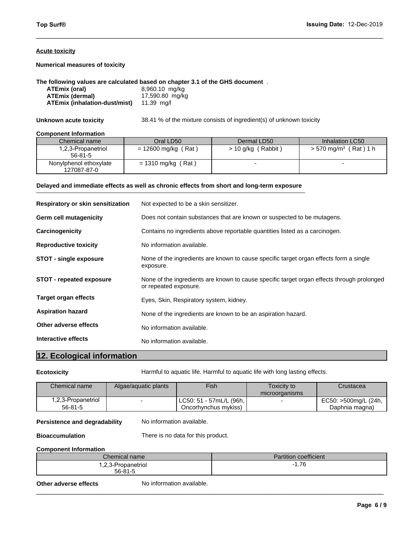#### **Acute toxicity**

#### **The following values are calculated based on chapter 3.1 of the GHS document** .

| ATEmix (oral)                 | 8,960.10 mg/kg  |
|-------------------------------|-----------------|
| ATEmix (dermal)               | 17,590.80 mg/kg |
| ATEmix (inhalation-dust/mist) | 11.39 ma/l      |

#### **Component Information**

| <b>Numerical measures of toxicity</b>                                                                                                                            |                                                   |                                                                      |                                     |
|------------------------------------------------------------------------------------------------------------------------------------------------------------------|---------------------------------------------------|----------------------------------------------------------------------|-------------------------------------|
| The following values are calculated based on chapter 3.1 of the GHS document.<br>ATEmix (oral)<br><b>ATEmix (dermal)</b><br><b>ATEmix (inhalation-dust/mist)</b> | 8,960.10 mg/kg<br>17,590.80 mg/kg<br>11.39 $mq/l$ |                                                                      |                                     |
| Unknown acute toxicity                                                                                                                                           |                                                   | 38.41 % of the mixture consists of ingredient(s) of unknown toxicity |                                     |
| <b>Component Information</b>                                                                                                                                     |                                                   |                                                                      |                                     |
| Chemical name                                                                                                                                                    | Oral LD50                                         | Dermal LD50                                                          | Inhalation LC50                     |
| 1,2,3-Propanetriol<br>$56 - 81 - 5$                                                                                                                              | $= 12600$ mg/kg (Rat)                             | $> 10$ g/kg (Rabbit)                                                 | $> 570$ mg/m <sup>3</sup> (Rat) 1 h |
| Nonylphenol ethoxylate<br>127087-87-0                                                                                                                            | $= 1310$ mg/kg (Rat)                              |                                                                      |                                     |

 $\_$  ,  $\_$  ,  $\_$  ,  $\_$  ,  $\_$  ,  $\_$  ,  $\_$  ,  $\_$  ,  $\_$  ,  $\_$  ,  $\_$  ,  $\_$  ,  $\_$  ,  $\_$  ,  $\_$  ,  $\_$  ,  $\_$  ,  $\_$  ,  $\_$  ,  $\_$  ,  $\_$  ,  $\_$  ,  $\_$  ,  $\_$  ,  $\_$  ,  $\_$  ,  $\_$  ,  $\_$  ,  $\_$  ,  $\_$  ,  $\_$  ,  $\_$  ,  $\_$  ,  $\_$  ,  $\_$  ,  $\_$  ,  $\_$  ,

# **Delayed and immediate effects as well as chronic effects from short and long-term exposure**

| Respiratory or skin sensitization |                      | Not expected to be a skin sensitizer.                                                                               |                                                                             |           |  |
|-----------------------------------|----------------------|---------------------------------------------------------------------------------------------------------------------|-----------------------------------------------------------------------------|-----------|--|
| Germ cell mutagenicity            |                      | Does not contain substances that are known or suspected to be mutagens.                                             |                                                                             |           |  |
| Carcinogenicity                   |                      | Contains no ingredients above reportable quantities listed as a carcinogen.                                         |                                                                             |           |  |
| <b>Reproductive toxicity</b>      |                      | No information available.                                                                                           |                                                                             |           |  |
| <b>STOT - single exposure</b>     | exposure.            | None of the ingredients are known to cause specific target organ effects form a single                              |                                                                             |           |  |
| <b>STOT - repeated exposure</b>   |                      | None of the ingredients are known to cause specific target organ effects through prolonged<br>or repeated exposure. |                                                                             |           |  |
| Target organ effects              |                      | Eyes, Skin, Respiratory system, kidney.                                                                             |                                                                             |           |  |
| <b>Aspiration hazard</b>          |                      | None of the ingredients are known to be an aspiration hazard.                                                       |                                                                             |           |  |
| Other adverse effects             |                      | No information available.                                                                                           |                                                                             |           |  |
| Interactive effects               |                      | No information available.                                                                                           |                                                                             |           |  |
| 12. Ecological information        |                      |                                                                                                                     |                                                                             |           |  |
| <b>Ecotoxicity</b>                |                      |                                                                                                                     | Harmful to aquatic life. Harmful to aquatic life with long lasting effects. |           |  |
| Chemical name                     | Algae/aquatic plants | Fish                                                                                                                | Toxicity to                                                                 | Crustacea |  |

 $\overline{\phantom{a}}$  , and the contribution of the contribution of the contribution of the contribution of the contribution of the contribution of the contribution of the contribution of the contribution of the contribution of the

| <b>Chemical name</b> | Algae/aguatic plants | <b>Fish</b>             | Toxicity to<br>microorganisms | Crustacea            |
|----------------------|----------------------|-------------------------|-------------------------------|----------------------|
| .2,3-Propanetriol    |                      | LC50: 51 - 57mL/L (96h, |                               | EC50: >500mg/L (24h, |
| $56 - 81 - 5$        |                      | Oncorhynchus mykiss)    |                               | Daphnia magna)       |

## **Persistence and degradability** No information available.

#### **Bioaccumulation** There is no data for this product.

#### **Component Information**

| Chemical name     | Partition coefficient |
|-------------------|-----------------------|
| ົດລ               | 7C                    |
| .2,3-Propanetriol | 1.70                  |
| $56 - 81 - 5$     | -                     |

**Other adverse effects** No information available.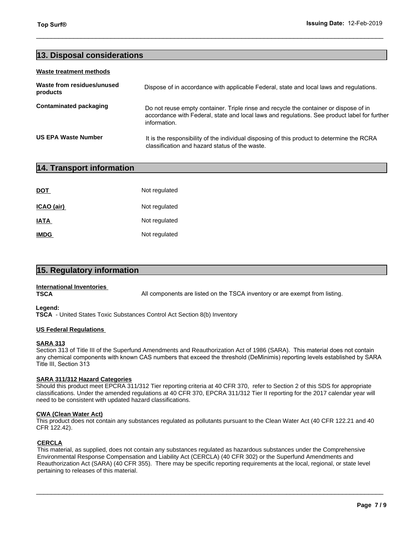#### **Waste treatment methods**

| Top Surf <sup>®</sup>                  | Issuing Date: 12-Feb-2019                                                                                                                                                                             |
|----------------------------------------|-------------------------------------------------------------------------------------------------------------------------------------------------------------------------------------------------------|
|                                        |                                                                                                                                                                                                       |
| 13. Disposal considerations            |                                                                                                                                                                                                       |
| <b>Waste treatment methods</b>         |                                                                                                                                                                                                       |
| Waste from residues/unused<br>products | Dispose of in accordance with applicable Federal, state and local laws and regulations.                                                                                                               |
| <b>Contaminated packaging</b>          | Do not reuse empty container. Triple rinse and recycle the container or dispose of in<br>accordance with Federal, state and local laws and regulations. See product label for further<br>information. |
| <b>US EPA Waste Number</b>             | It is the responsibility of the individual disposing of this product to determine the RCRA<br>classification and hazard status of the waste.                                                          |
| 14. Transport information              |                                                                                                                                                                                                       |
|                                        |                                                                                                                                                                                                       |
| <b>DOT</b>                             | Not regulated                                                                                                                                                                                         |

|                                                 | classification and hazard status of th |
|-------------------------------------------------|----------------------------------------|
| 14. Transport information                       |                                        |
|                                                 |                                        |
| DOT                                             | Not regulated                          |
| ICAO (air)                                      | Not regulated                          |
| IATA                                            | Not regulated                          |
| <b>IMDG</b>                                     | Not regulated                          |
|                                                 |                                        |
| 15. Regulatory information                      |                                        |
| <b>International Inventories</b><br><b>TSCA</b> | All components are listed on the TSC.  |

# **International Inventories**

All components are listed on the TSCA inventory or are exempt from listing.

 $\_$  ,  $\_$  ,  $\_$  ,  $\_$  ,  $\_$  ,  $\_$  ,  $\_$  ,  $\_$  ,  $\_$  ,  $\_$  ,  $\_$  ,  $\_$  ,  $\_$  ,  $\_$  ,  $\_$  ,  $\_$  ,  $\_$  ,  $\_$  ,  $\_$  ,  $\_$  ,  $\_$  ,  $\_$  ,  $\_$  ,  $\_$  ,  $\_$  ,  $\_$  ,  $\_$  ,  $\_$  ,  $\_$  ,  $\_$  ,  $\_$  ,  $\_$  ,  $\_$  ,  $\_$  ,  $\_$  ,  $\_$  ,  $\_$  ,

#### **Legend:**

 **TSCA** - United States Toxic Substances Control Act Section 8(b) Inventory

#### **US Federal Regulations**

#### **SARA 313**

Section 313 of Title III of the Superfund Amendments and Reauthorization Act of 1986 (SARA). This material does not contain any chemical components with known CAS numbers that exceed the threshold (DeMinimis) reporting levels established by SARA Title III, Section 313

## **SARA 311/312 Hazard Categories**

Should this product meet EPCRA 311/312 Tier reporting criteria at 40 CFR 370, refer to Section 2 of this SDS for appropriate classifications. Under the amended regulations at 40 CFR 370, EPCRA 311/312 Tier II reporting for the 2017 calendar year will need to be consistent with updated hazard classifications.

#### **CWA (Clean Water Act)**

This product does not contain any substances regulated as pollutants pursuant to the Clean Water Act (40 CFR 122.21 and 40 CFR 122.42).

#### **CERCLA**

This material, as supplied, does not contain any substances regulated as hazardous substances under the Comprehensive Environmental Response Compensation and Liability Act (CERCLA) (40 CFR 302) or the Superfund Amendments and Reauthorization Act (SARA) (40 CFR 355). There may be specific reporting requirements at the local, regional, or state level pertaining to releases of this material.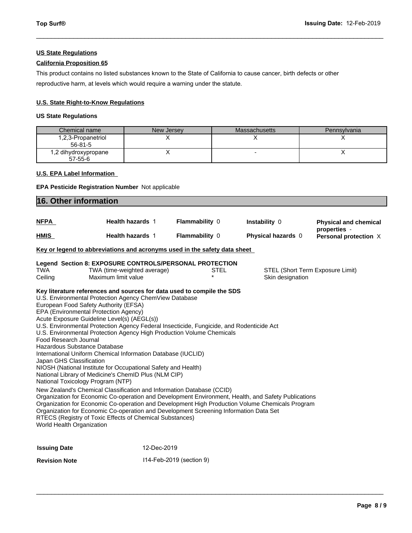# **US State Regulations**

# **California Proposition 65**

This product contains no listed substances known to the State of California to cause cancer, birth defects or other reproductive harm, at levels which would require a warning under the statute.

# **U.S. State Right-to-Know Regulations**

# **US State Regulations**

|                                                                                              | U.S. State Right-to-Know Regulations |                      |              |  |  |
|----------------------------------------------------------------------------------------------|--------------------------------------|----------------------|--------------|--|--|
| <b>US State Regulations</b>                                                                  |                                      |                      |              |  |  |
| Chemical name                                                                                | New Jersey                           | <b>Massachusetts</b> | Pennsylvania |  |  |
| 1,2,3-Propanetriol<br>$56 - 81 - 5$                                                          | Х                                    | X                    | х            |  |  |
| 1,2 dihydroxypropane<br>$57 - 55 - 6$                                                        | Χ                                    | ٠                    | X            |  |  |
| <b>U.S. EPA Label Information</b><br><b>EPA Pesticide Registration Number</b> Not applicable |                                      |                      |              |  |  |
| 16. Other information                                                                        |                                      |                      |              |  |  |

 $\_$  ,  $\_$  ,  $\_$  ,  $\_$  ,  $\_$  ,  $\_$  ,  $\_$  ,  $\_$  ,  $\_$  ,  $\_$  ,  $\_$  ,  $\_$  ,  $\_$  ,  $\_$  ,  $\_$  ,  $\_$  ,  $\_$  ,  $\_$  ,  $\_$  ,  $\_$  ,  $\_$  ,  $\_$  ,  $\_$  ,  $\_$  ,  $\_$  ,  $\_$  ,  $\_$  ,  $\_$  ,  $\_$  ,  $\_$  ,  $\_$  ,  $\_$  ,  $\_$  ,  $\_$  ,  $\_$  ,  $\_$  ,  $\_$  ,

## **U.S. EPA Label Information**

## **EPA Pesticide Registration Number** Not applicable

|                                                                                | <b>16. Other information</b>                                                                                                                                                                                                                                                                                                                                                                                                                                                                                                                                                                                                                                                                                                                                                                                                                                                                                                                                                                                                                                                                                                                 |                          |                    |                                       |  |
|--------------------------------------------------------------------------------|----------------------------------------------------------------------------------------------------------------------------------------------------------------------------------------------------------------------------------------------------------------------------------------------------------------------------------------------------------------------------------------------------------------------------------------------------------------------------------------------------------------------------------------------------------------------------------------------------------------------------------------------------------------------------------------------------------------------------------------------------------------------------------------------------------------------------------------------------------------------------------------------------------------------------------------------------------------------------------------------------------------------------------------------------------------------------------------------------------------------------------------------|--------------------------|--------------------|---------------------------------------|--|
| <b>NFPA</b>                                                                    | <b>Health hazards 1</b>                                                                                                                                                                                                                                                                                                                                                                                                                                                                                                                                                                                                                                                                                                                                                                                                                                                                                                                                                                                                                                                                                                                      | Flammability 0           | Instability 0      | <b>Physical and chemical</b>          |  |
| <b>HMIS</b>                                                                    | <b>Health hazards 1</b>                                                                                                                                                                                                                                                                                                                                                                                                                                                                                                                                                                                                                                                                                                                                                                                                                                                                                                                                                                                                                                                                                                                      | Flammability 0           | Physical hazards 0 | properties -<br>Personal protection X |  |
|                                                                                | Key or legend to abbreviations and acronyms used in the safety data sheet                                                                                                                                                                                                                                                                                                                                                                                                                                                                                                                                                                                                                                                                                                                                                                                                                                                                                                                                                                                                                                                                    |                          |                    |                                       |  |
|                                                                                | Legend Section 8: EXPOSURE CONTROLS/PERSONAL PROTECTION                                                                                                                                                                                                                                                                                                                                                                                                                                                                                                                                                                                                                                                                                                                                                                                                                                                                                                                                                                                                                                                                                      |                          |                    |                                       |  |
| <b>TWA</b><br>Ceiling                                                          | TWA (time-weighted average)<br>Maximum limit value                                                                                                                                                                                                                                                                                                                                                                                                                                                                                                                                                                                                                                                                                                                                                                                                                                                                                                                                                                                                                                                                                           | <b>STEL</b>              | Skin designation   | STEL (Short Term Exposure Limit)      |  |
| Food Research Journal<br>Japan GHS Classification<br>World Health Organization | Key literature references and sources for data used to compile the SDS<br>U.S. Environmental Protection Agency ChemView Database<br>European Food Safety Authority (EFSA)<br>EPA (Environmental Protection Agency)<br>Acute Exposure Guideline Level(s) (AEGL(s))<br>U.S. Environmental Protection Agency Federal Insecticide, Fungicide, and Rodenticide Act<br>U.S. Environmental Protection Agency High Production Volume Chemicals<br>Hazardous Substance Database<br>International Uniform Chemical Information Database (IUCLID)<br>NIOSH (National Institute for Occupational Safety and Health)<br>National Library of Medicine's ChemID Plus (NLM CIP)<br>National Toxicology Program (NTP)<br>New Zealand's Chemical Classification and Information Database (CCID)<br>Organization for Economic Co-operation and Development Environment, Health, and Safety Publications<br>Organization for Economic Co-operation and Development High Production Volume Chemicals Program<br>Organization for Economic Co-operation and Development Screening Information Data Set<br>RTECS (Registry of Toxic Effects of Chemical Substances) |                          |                    |                                       |  |
| <b>Issuing Date</b>                                                            | 12-Dec-2019                                                                                                                                                                                                                                                                                                                                                                                                                                                                                                                                                                                                                                                                                                                                                                                                                                                                                                                                                                                                                                                                                                                                  |                          |                    |                                       |  |
| <b>Revision Note</b>                                                           |                                                                                                                                                                                                                                                                                                                                                                                                                                                                                                                                                                                                                                                                                                                                                                                                                                                                                                                                                                                                                                                                                                                                              | 114-Feb-2019 (section 9) |                    |                                       |  |
|                                                                                |                                                                                                                                                                                                                                                                                                                                                                                                                                                                                                                                                                                                                                                                                                                                                                                                                                                                                                                                                                                                                                                                                                                                              |                          |                    |                                       |  |

\_\_\_\_\_\_\_\_\_\_\_\_\_\_\_\_\_\_\_\_\_\_\_\_\_\_\_\_\_\_\_\_\_\_\_\_\_\_\_\_\_\_\_\_\_\_\_\_\_\_\_\_\_\_\_\_\_\_\_\_\_\_\_\_\_\_\_\_\_\_\_\_\_\_\_\_\_\_\_\_\_\_\_\_\_\_\_\_\_\_\_\_\_